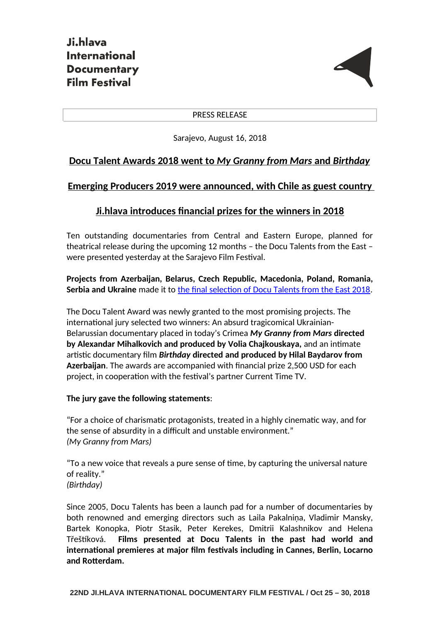

#### PRESS RELEASE

Sarajevo, August 16, 2018

# **Docu Talent Awards 2018 went to** *My Granny from Mars* **and** *Birthday*

## **Emerging Producers 2019 were announced, with Chile as guest country**

# **Ji.hlava introduces financial prizes for the winners in 2018**

Ten outstanding documentaries from Central and Eastern Europe, planned for theatrical release during the upcoming 12 months – the Docu Talents from the East – were presented yesterday at the Sarajevo Film Festival.

**Projects from Azerbaijan, Belarus, Czech Republic, Macedonia, Poland, Romania, Serbia and Ukraine** made it to [the final selection of Docu Talents from the East 2018.](http://www.ji-hlava.com/industry/docu-talents/2018)

The Docu Talent Award was newly granted to the most promising projects. The international jury selected two winners: An absurd tragicomical Ukrainian-Belarussian documentary placed in today's Crimea *My Granny from Mars* **directed by Alexandar Mihalkovich and produced by Volia Chajkouskaya,** and an intimate artistic documentary film *Birthday* **directed and produced by Hilal Baydarov from Azerbaijan**. The awards are accompanied with financial prize 2,500 USD for each project, in cooperation with the festival's partner Current Time TV.

### **The jury gave the following statements**:

"For a choice of charismatic protagonists, treated in a highly cinematic way, and for the sense of absurdity in a difficult and unstable environment." *(My Granny from Mars)*

"To a new voice that reveals a pure sense of time, by capturing the universal nature of reality." *(Birthday)*

Since 2005, Docu Talents has been a launch pad for a number of documentaries by both renowned and emerging directors such as Laila Pakalniņa, Vladimir Mansky, Bartek Konopka, Piotr Stasik, Peter Kerekes, Dmitrii Kalashnikov and Helena Třeštíková. **Films presented at Docu Talents in the past had world and international premieres at major film festivals including in Cannes, Berlin, Locarno and Rotterdam.**